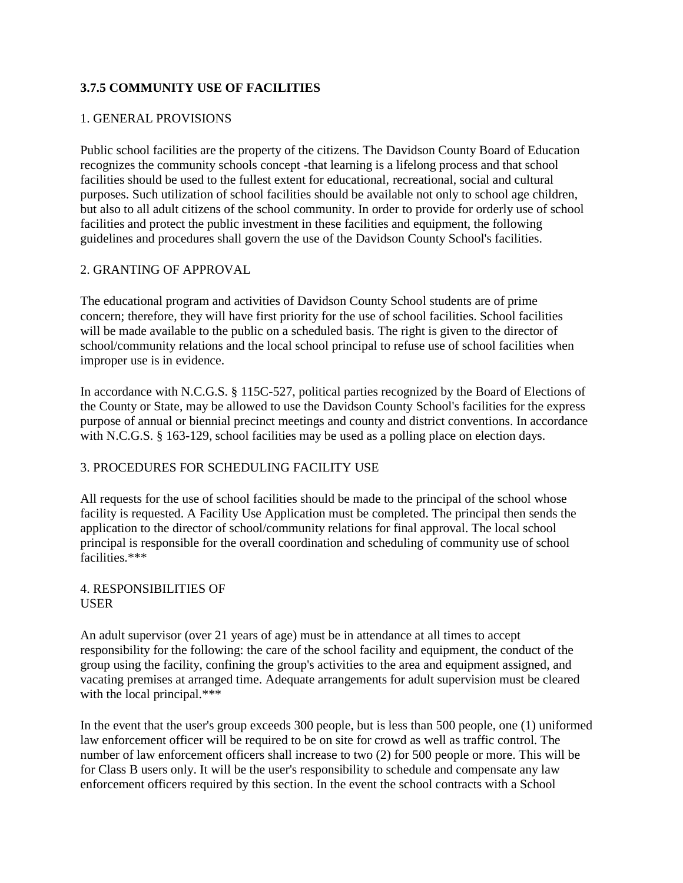# **3.7.5 COMMUNITY USE OF FACILITIES**

### 1. GENERAL PROVISIONS

Public school facilities are the property of the citizens. The Davidson County Board of Education recognizes the community schools concept -that learning is a lifelong process and that school facilities should be used to the fullest extent for educational, recreational, social and cultural purposes. Such utilization of school facilities should be available not only to school age children, but also to all adult citizens of the school community. In order to provide for orderly use of school facilities and protect the public investment in these facilities and equipment, the following guidelines and procedures shall govern the use of the Davidson County School's facilities.

### 2. GRANTING OF APPROVAL

The educational program and activities of Davidson County School students are of prime concern; therefore, they will have first priority for the use of school facilities. School facilities will be made available to the public on a scheduled basis. The right is given to the director of school/community relations and the local school principal to refuse use of school facilities when improper use is in evidence.

In accordance with N.C.G.S. § 115C-527, political parties recognized by the Board of Elections of the County or State, may be allowed to use the Davidson County School's facilities for the express purpose of annual or biennial precinct meetings and county and district conventions. In accordance with N.C.G.S. § 163-129, school facilities may be used as a polling place on election days.

#### 3. PROCEDURES FOR SCHEDULING FACILITY USE

All requests for the use of school facilities should be made to the principal of the school whose facility is requested. A Facility Use Application must be completed. The principal then sends the application to the director of school/community relations for final approval. The local school principal is responsible for the overall coordination and scheduling of community use of school facilities.\*\*\*

#### 4. RESPONSIBILITIES OF USER

An adult supervisor (over 21 years of age) must be in attendance at all times to accept responsibility for the following: the care of the school facility and equipment, the conduct of the group using the facility, confining the group's activities to the area and equipment assigned, and vacating premises at arranged time. Adequate arrangements for adult supervision must be cleared with the local principal.\*\*\*

In the event that the user's group exceeds 300 people, but is less than 500 people, one (1) uniformed law enforcement officer will be required to be on site for crowd as well as traffic control. The number of law enforcement officers shall increase to two (2) for 500 people or more. This will be for Class B users only. It will be the user's responsibility to schedule and compensate any law enforcement officers required by this section. In the event the school contracts with a School